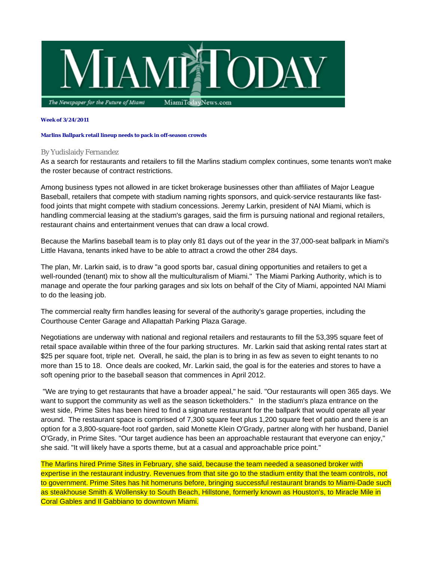

## **Week of 3/24/2011**

## **Marlins Ballpark retail lineup needs to pack in off-season crowds**

## By Yudislaidy Fernandez

As a search for restaurants and retailers to fill the Marlins stadium complex continues, some tenants won't make the roster because of contract restrictions.

Among business types not allowed in are ticket brokerage businesses other than affiliates of Major League Baseball, retailers that compete with stadium naming rights sponsors, and quick-service restaurants like fastfood joints that might compete with stadium concessions. Jeremy Larkin, president of NAI Miami, which is handling commercial leasing at the stadium's garages, said the firm is pursuing national and regional retailers, restaurant chains and entertainment venues that can draw a local crowd.

Because the Marlins baseball team is to play only 81 days out of the year in the 37,000-seat ballpark in Miami's Little Havana, tenants inked have to be able to attract a crowd the other 284 days.

The plan, Mr. Larkin said, is to draw "a good sports bar, casual dining opportunities and retailers to get a well-rounded (tenant) mix to show all the multiculturalism of Miami." The Miami Parking Authority, which is to manage and operate the four parking garages and six lots on behalf of the City of Miami, appointed NAI Miami to do the leasing job.

The commercial realty firm handles leasing for several of the authority's garage properties, including the Courthouse Center Garage and Allapattah Parking Plaza Garage.

Negotiations are underway with national and regional retailers and restaurants to fill the 53,395 square feet of retail space available within three of the four parking structures. Mr. Larkin said that asking rental rates start at \$25 per square foot, triple net. Overall, he said, the plan is to bring in as few as seven to eight tenants to no more than 15 to 18. Once deals are cooked, Mr. Larkin said, the goal is for the eateries and stores to have a soft opening prior to the baseball season that commences in April 2012.

 "We are trying to get restaurants that have a broader appeal," he said. "Our restaurants will open 365 days. We want to support the community as well as the season ticketholders." In the stadium's plaza entrance on the west side, Prime Sites has been hired to find a signature restaurant for the ballpark that would operate all year around. The restaurant space is comprised of 7,300 square feet plus 1,200 square feet of patio and there is an option for a 3,800-square-foot roof garden, said Monette Klein O'Grady, partner along with her husband, Daniel O'Grady, in Prime Sites. "Our target audience has been an approachable restaurant that everyone can enjoy," she said. "It will likely have a sports theme, but at a casual and approachable price point."

The Marlins hired Prime Sites in February, she said, because the team needed a seasoned broker with expertise in the restaurant industry. Revenues from that site go to the stadium entity that the team controls, not to government. Prime Sites has hit homeruns before, bringing successful restaurant brands to Miami-Dade such as steakhouse Smith & Wollensky to South Beach, Hillstone, formerly known as Houston's, to Miracle Mile in Coral Gables and Il Gabbiano to downtown Miami.